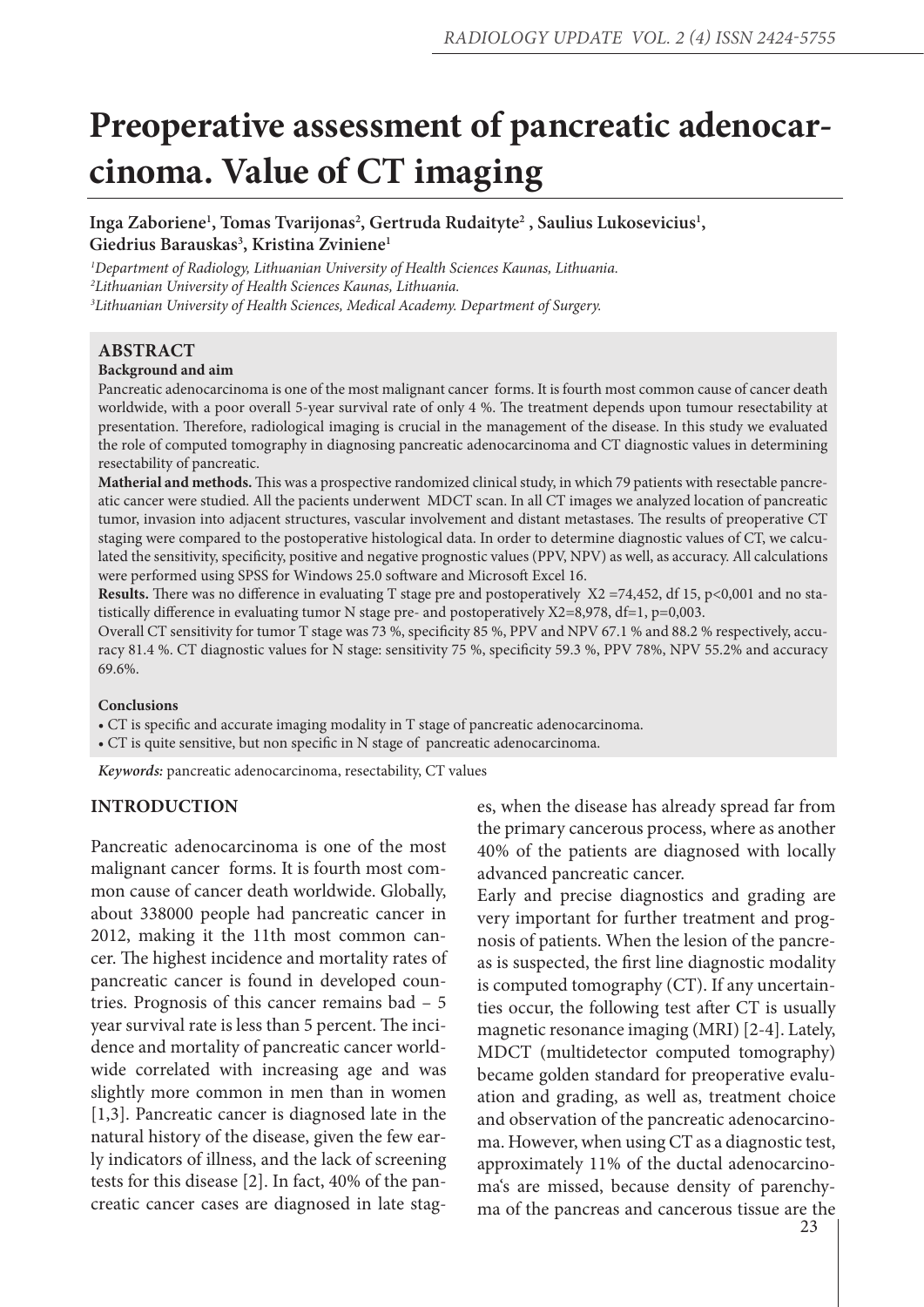# **Preoperative assessment of pancreatic adenocarcinoma. Value of CT imaging**

Inga Zaboriene<sup>1</sup>, Tomas Tvarijonas<sup>2</sup>, Gertruda Rudaityte<sup>2</sup>, Saulius Lukosevicius<sup>1</sup>, **Giedrius Barauskas3 , Kristina Zviniene1**

*1 Department of Radiology, Lithuanian University of Health Sciences Kaunas, Lithuania. 2 Lithuanian University of Health Sciences Kaunas, Lithuania. 3 Lithuanian University of Health Sciences, Medical Academy. Department of Surgery.*

#### **ABSTRACT**

#### **Background and aim**

Pancreatic adenocarcinoma is one of the most malignant cancer forms. It is fourth most common cause of cancer death worldwide, with a poor overall 5-year survival rate of only 4 %. The treatment depends upon tumour resectability at presentation. Therefore, radiological imaging is crucial in the management of the disease. In this study we evaluated the role of computed tomography in diagnosing pancreatic adenocarcinoma and CT diagnostic values in determining resectability of pancreatic.

**Matherial and methods.** This was a prospective randomized clinical study, in which 79 patients with resectable pancreatic cancer were studied. All the pacients underwent MDCT scan. In all CT images we analyzed location of pancreatic tumor, invasion into adjacent structures, vascular involvement and distant metastases. The results of preoperative CT staging were compared to the postoperative histological data. In order to determine diagnostic values of CT, we calculated the sensitivity, specificity, positive and negative prognostic values (PPV, NPV) as well, as accuracy. All calculations were performed using SPSS for Windows 25.0 software and Microsoft Excel 16.

Results. There was no difference in evaluating T stage pre and postoperatively X2 =74,452, df 15, p<0,001 and no statistically difference in evaluating tumor N stage pre- and postoperatively  $X2=8,978$ , df=1, p=0,003.

Overall CT sensitivity for tumor T stage was 73 %, specificity 85 %, PPV and NPV 67.1 % and 88.2 % respectively, accuracy 81.4 %. CT diagnostic values for N stage: sensitivity 75 %, specificity 59.3 %, PPV 78%, NPV 55.2% and accuracy 69.6%.

#### **Conclusions**

• CT is specific and accurate imaging modality in T stage of pancreatic adenocarcinoma.

• CT is quite sensitive, but non specific in N stage of pancreatic adenocarcinoma.

*Keywords:* pancreatic adenocarcinoma, resectability, CT values

#### **INTRODUCTION**

Pancreatic adenocarcinoma is one of the most malignant cancer forms. It is fourth most common cause of cancer death worldwide. Globally, about 338000 people had pancreatic cancer in 2012, making it the 11th most common cancer. The highest incidence and mortality rates of pancreatic cancer is found in developed countries. Prognosis of this cancer remains bad – 5 year survival rate is less than 5 percent. The incidence and mortality of pancreatic cancer worldwide correlated with increasing age and was slightly more common in men than in women [1,3]. Pancreatic cancer is diagnosed late in the natural history of the disease, given the few early indicators of illness, and the lack of screening tests for this disease [2]. In fact, 40% of the pancreatic cancer cases are diagnosed in late stages, when the disease has already spread far from the primary cancerous process, where as another 40% of the patients are diagnosed with locally advanced pancreatic cancer.

Early and precise diagnostics and grading are very important for further treatment and prognosis of patients. When the lesion of the pancreas is suspected, the first line diagnostic modality is computed tomography (CT). If any uncertainties occur, the following test after CT is usually magnetic resonance imaging (MRI) [2-4]. Lately, MDCT (multidetector computed tomography) became golden standard for preoperative evaluation and grading, as well as, treatment choice and observation of the pancreatic adenocarcinoma. However, when using CT as a diagnostic test, approximately 11% of the ductal adenocarcinoma's are missed, because density of parenchyma of the pancreas and cancerous tissue are the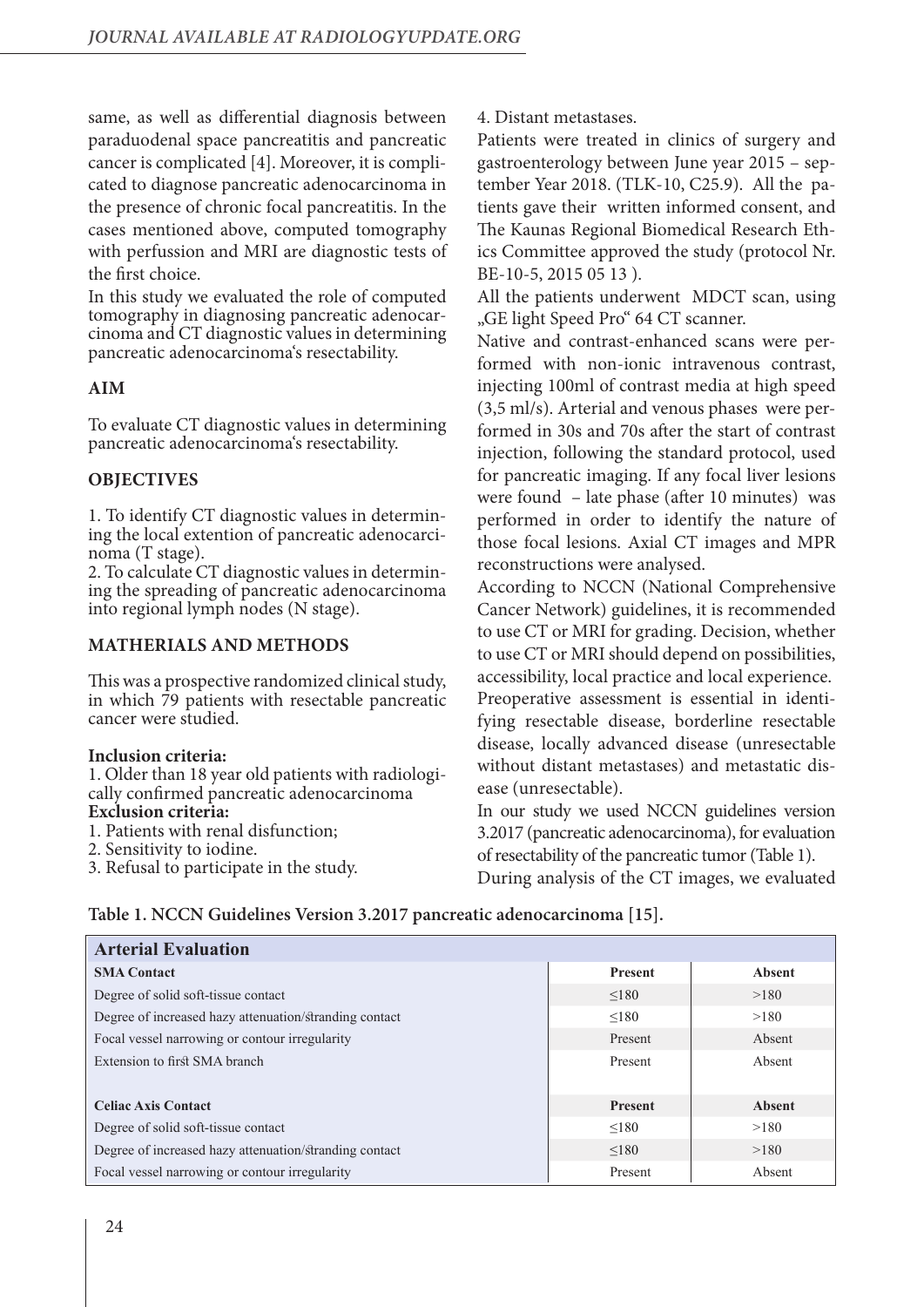same, as well as differential diagnosis between paraduodenal space pancreatitis and pancreatic cancer is complicated [4]. Moreover, it is complicated to diagnose pancreatic adenocarcinoma in the presence of chronic focal pancreatitis. In the cases mentioned above, computed tomography with perfussion and MRI are diagnostic tests of the first choice.

In this study we evaluated the role of computed tomography in diagnosing pancreatic adenocarcinoma and CT diagnostic values in determining pancreatic adenocarcinoma's resectability.

## **AIM**

To evaluate CT diagnostic values in determining pancreatic adenocarcinoma's resectability.

## **OBJECTIVES**

1. To identify CT diagnostic values in determining the local extention of pancreatic adenocarcinoma (T stage).

2. To calculate CT diagnostic values in determining the spreading of pancreatic adenocarcinoma into regional lymph nodes (N stage).

#### **MATHERIALS AND METHODS**

This was a prospective randomized clinical study, in which 79 patients with resectable pancreatic cancer were studied.

#### **Inclusion criteria:**

1. Older than 18 year old patients with radiologically confirmed pancreatic adenocarcinoma **Exclusion criteria:** 

- 1. Patients with renal disfunction;
- 2. Sensitivity to iodine.
- 3. Refusal to participate in the study.

4. Distant metastases.

Patients were treated in clinics of surgery and gastroenterology between June year 2015 – september Year 2018. (TLK-10, C25.9). All the patients gave their written informed consent, and The Kaunas Regional Biomedical Research Ethics Committee approved the study (protocol Nr. BE-10-5, 2015 05 13 ).

All the patients underwent MDCT scan, using "GE light Speed Pro" 64 CT scanner.

Native and contrast-enhanced scans were performed with non-ionic intravenous contrast, injecting 100ml of contrast media at high speed (3,5 ml/s). Arterial and venous phases were performed in 30s and 70s after the start of contrast injection, following the standard protocol, used for pancreatic imaging. If any focal liver lesions were found – late phase (after 10 minutes) was performed in order to identify the nature of those focal lesions. Axial CT images and MPR reconstructions were analysed.

According to NCCN (National Comprehensive Cancer Network) guidelines, it is recommended to use CT or MRI for grading. Decision, whether to use CT or MRI should depend on possibilities, accessibility, local practice and local experience. Preoperative assessment is essential in identifying resectable disease, borderline resectable disease, locally advanced disease (unresectable without distant metastases) and metastatic disease (unresectable).

In our study we used NCCN guidelines version 3.2017 (pancreatic adenocarcinoma), for evaluation of resectability of the pancreatic tumor (Table 1). During analysis of the CT images, we evaluated

|  |  |  |  |  | Table 1. NCCN Guidelines Version 3.2017 pancreatic adenocarcinoma [15]. |  |  |  |
|--|--|--|--|--|-------------------------------------------------------------------------|--|--|--|
|--|--|--|--|--|-------------------------------------------------------------------------|--|--|--|

| <b>Arterial Evaluation</b>                             |                |        |
|--------------------------------------------------------|----------------|--------|
| <b>SMA Contact</b>                                     | <b>Present</b> | Absent |
| Degree of solid soft-tissue contact                    | < 180          | >180   |
| Degree of increased hazy attenuation/stranding contact | < 180          | >180   |
| Focal vessel narrowing or contour irregularity         | Present        | Absent |
| Extension to first SMA branch                          | Present        | Absent |
|                                                        |                |        |
| <b>Celiac Axis Contact</b>                             | <b>Present</b> | Absent |
| Degree of solid soft-tissue contact                    | < 180          | >180   |
| Degree of increased hazy attenuation/stranding contact | < 180          | >180   |
| Focal vessel narrowing or contour irregularity         | Present        | Absent |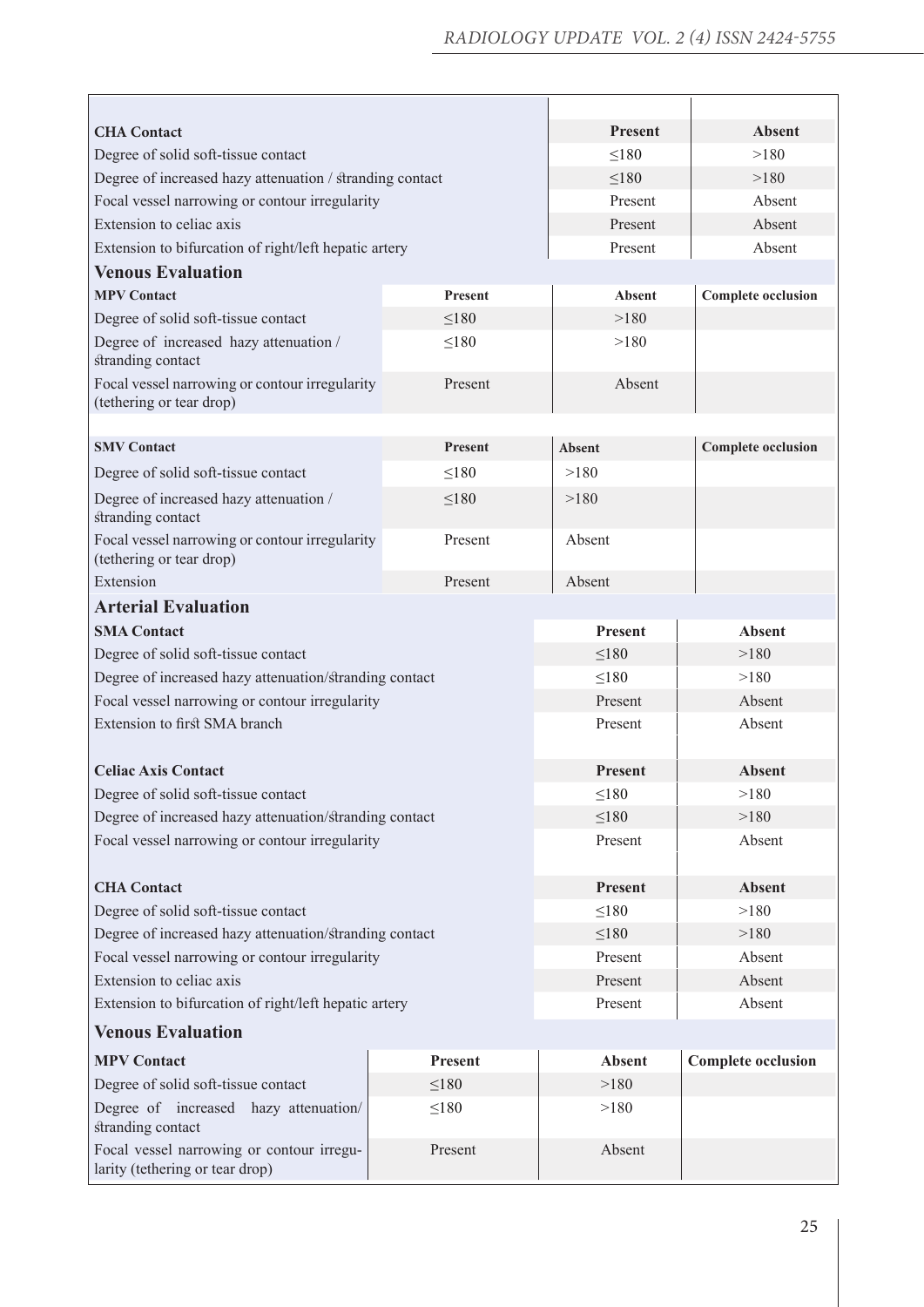| <b>CHA</b> Contact                                                           | <b>Present</b> | <b>Absent</b>  |                           |  |  |
|------------------------------------------------------------------------------|----------------|----------------|---------------------------|--|--|
| Degree of solid soft-tissue contact                                          | $\leq$ 180     | >180           |                           |  |  |
| Degree of increased hazy attenuation / stranding contact                     |                | $\leq 180$     | >180                      |  |  |
| Focal vessel narrowing or contour irregularity                               |                | Present        | Absent                    |  |  |
| Extension to celiac axis                                                     |                | Present        | Absent                    |  |  |
| Extension to bifurcation of right/left hepatic artery                        |                | Present        | Absent                    |  |  |
| <b>Venous Evaluation</b>                                                     |                |                |                           |  |  |
| <b>MPV Contact</b>                                                           | <b>Present</b> | <b>Absent</b>  | <b>Complete occlusion</b> |  |  |
| Degree of solid soft-tissue contact                                          | $\leq 180$     | >180           |                           |  |  |
| Degree of increased hazy attenuation /<br>stranding contact                  | $\leq 180$     | >180           |                           |  |  |
| Focal vessel narrowing or contour irregularity<br>(tethering or tear drop)   | Present        | Absent         |                           |  |  |
|                                                                              |                |                |                           |  |  |
| <b>SMV Contact</b>                                                           | <b>Present</b> | Absent         | <b>Complete occlusion</b> |  |  |
| Degree of solid soft-tissue contact                                          | $\leq 180$     | >180           |                           |  |  |
| Degree of increased hazy attenuation /<br>stranding contact                  | $\leq 180$     | >180           |                           |  |  |
| Focal vessel narrowing or contour irregularity<br>(tethering or tear drop)   | Absent         |                |                           |  |  |
| Extension                                                                    | Absent         |                |                           |  |  |
| <b>Arterial Evaluation</b>                                                   |                |                |                           |  |  |
| <b>SMA Contact</b>                                                           |                | <b>Present</b> | <b>Absent</b>             |  |  |
| Degree of solid soft-tissue contact                                          |                | $\leq 180$     | >180                      |  |  |
| Degree of increased hazy attenuation/stranding contact                       |                | $\leq 180$     | >180                      |  |  |
| Focal vessel narrowing or contour irregularity                               |                | Present        | Absent                    |  |  |
| Extension to first SMA branch                                                |                | Present        | Absent                    |  |  |
| <b>Celiac Axis Contact</b>                                                   |                | <b>Present</b> | <b>Absent</b>             |  |  |
| Degree of solid soft-tissue contact                                          |                | ${\leq}180$    | >180                      |  |  |
| Degree of increased hazy attenuation/stranding contact                       |                | $\leq 180$     | >180                      |  |  |
| Focal vessel narrowing or contour irregularity                               |                | Present        | Absent                    |  |  |
| <b>CHA</b> Contact                                                           |                | Present        | <b>Absent</b>             |  |  |
| Degree of solid soft-tissue contact                                          |                | $\leq$ 180     | >180                      |  |  |
| Degree of increased hazy attenuation/stranding contact                       |                | $\leq 180$     | >180                      |  |  |
| Focal vessel narrowing or contour irregularity                               |                | Present        | Absent                    |  |  |
| Extension to celiac axis                                                     |                | Present        | Absent                    |  |  |
| Extension to bifurcation of right/left hepatic artery                        |                | Present        | Absent                    |  |  |
| <b>Venous Evaluation</b>                                                     |                |                |                           |  |  |
| <b>MPV Contact</b>                                                           | Present        | <b>Absent</b>  | <b>Complete occlusion</b> |  |  |
| Degree of solid soft-tissue contact                                          | $\leq$ 180     | >180           |                           |  |  |
| Degree of increased hazy attenuation/<br>stranding contact                   | $\leq$ 180     | >180           |                           |  |  |
| Focal vessel narrowing or contour irregu-<br>larity (tethering or tear drop) | Present        |                |                           |  |  |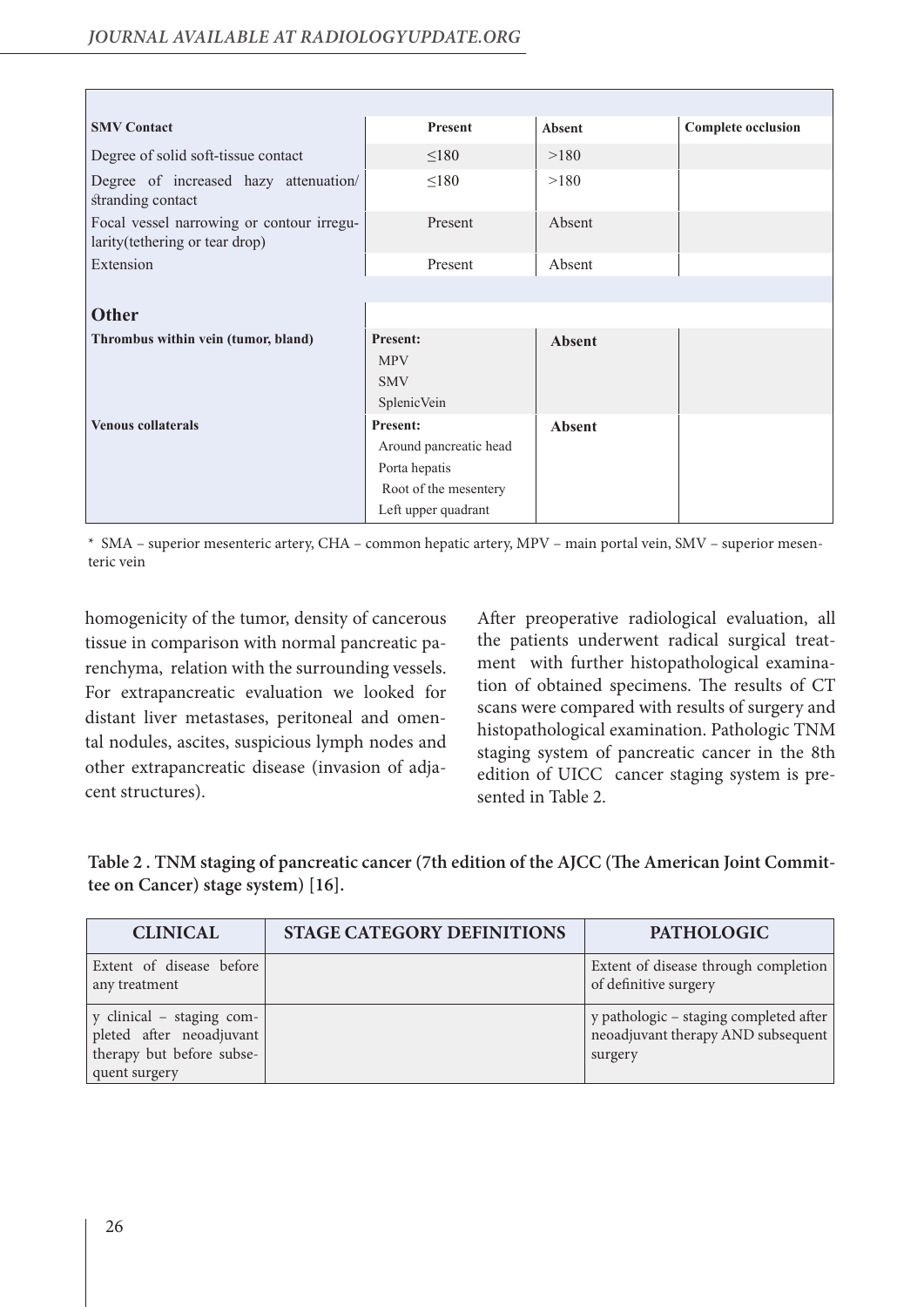| <b>SMV Contact</b>                                                           | Present                | Absent        | <b>Complete occlusion</b> |
|------------------------------------------------------------------------------|------------------------|---------------|---------------------------|
| Degree of solid soft-tissue contact                                          | $\leq$ 180             | >180          |                           |
| Degree of increased hazy attenuation/<br>stranding contact                   | $\leq 180$             | >180          |                           |
| Focal vessel narrowing or contour irregu-<br>larity (tethering or tear drop) | Present                | Absent        |                           |
| Extension                                                                    | Present                | Absent        |                           |
|                                                                              |                        |               |                           |
| <b>Other</b>                                                                 |                        |               |                           |
| Thrombus within vein (tumor, bland)                                          | <b>Present:</b>        | <b>Absent</b> |                           |
|                                                                              | <b>MPV</b>             |               |                           |
|                                                                              | <b>SMV</b>             |               |                           |
|                                                                              | SplenicVein            |               |                           |
| <b>Venous collaterals</b>                                                    | <b>Present:</b>        | <b>Absent</b> |                           |
|                                                                              | Around pancreatic head |               |                           |
|                                                                              | Porta hepatis          |               |                           |
|                                                                              | Root of the mesentery  |               |                           |
|                                                                              | Left upper quadrant    |               |                           |

\* SMA – superior mesenteric artery, CHA – common hepatic artery, MPV – main portal vein, SMV – superior mesenteric vein

homogenicity of the tumor, density of cancerous tissue in comparison with normal pancreatic parenchyma, relation with the surrounding vessels. For extrapancreatic evaluation we looked for distant liver metastases, peritoneal and omental nodules, ascites, suspicious lymph nodes and other extrapancreatic disease (invasion of adjacent structures).

After preoperative radiological evaluation, all the patients underwent radical surgical treatment with further histopathological examination of obtained specimens. The results of CT scans were compared with results of surgery and histopathological examination. Pathologic TNM staging system of pancreatic cancer in the 8th edition of UICC cancer staging system is presented in Table 2.

**Table 2 . TNM staging of pancreatic cancer (7th edition of the AJCC (The American Joint Committee on Cancer) stage system) [16].** 

| <b>CLINICAL</b>                                                                                     | <b>STAGE CATEGORY DEFINITIONS</b> | <b>PATHOLOGIC</b>                                                                       |
|-----------------------------------------------------------------------------------------------------|-----------------------------------|-----------------------------------------------------------------------------------------|
| Extent of disease before<br>any treatment                                                           |                                   | Extent of disease through completion<br>of definitive surgery                           |
| y clinical - staging com-<br>pleted after neoadjuvant<br>therapy but before subse-<br>quent surgery |                                   | y pathologic - staging completed after<br>neoadjuvant therapy AND subsequent<br>surgery |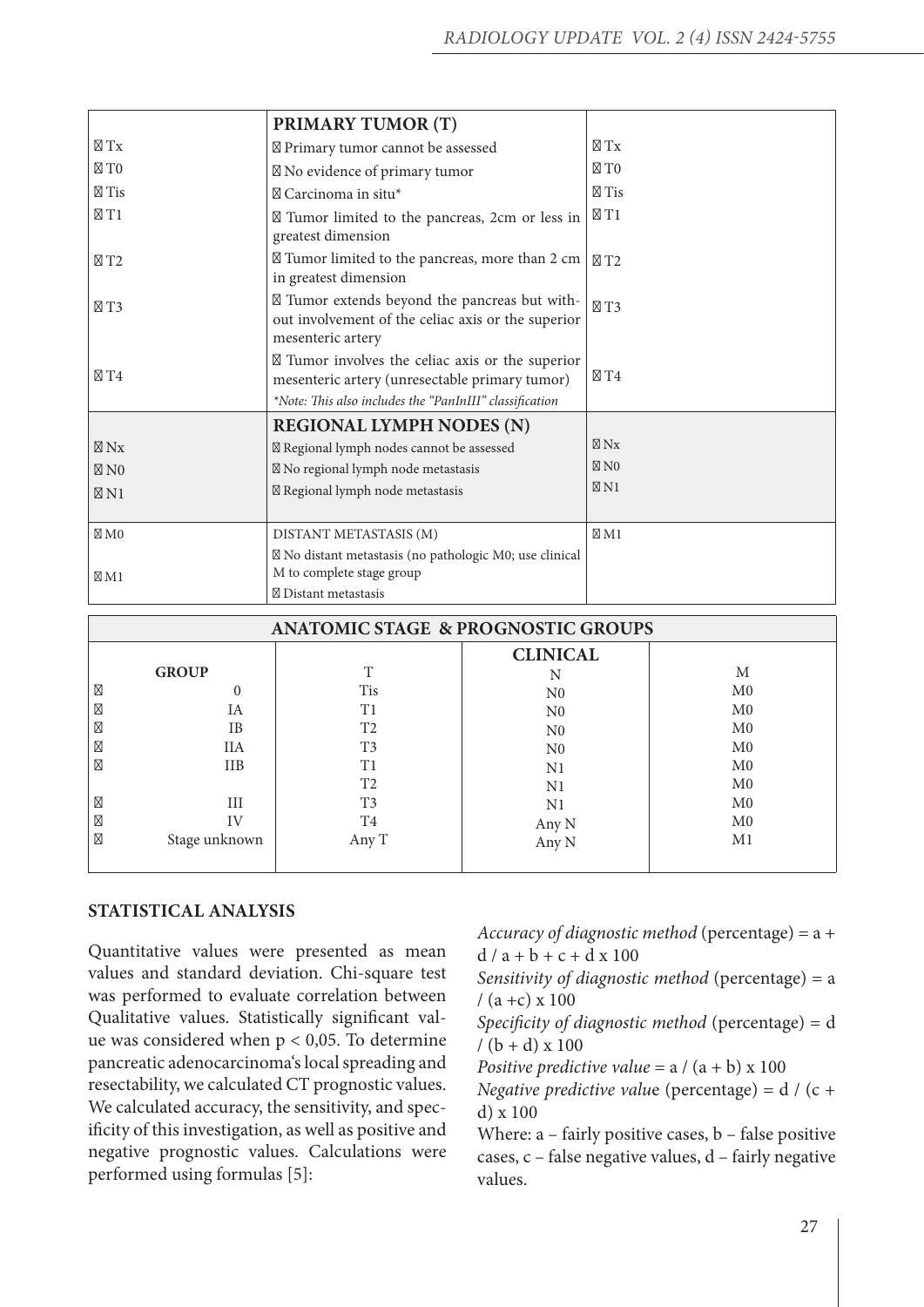| <b>ANATOMIC STAGE &amp; PROGNOSTIC GROUPS</b> |                |                 |                |  |  |  |  |
|-----------------------------------------------|----------------|-----------------|----------------|--|--|--|--|
|                                               |                | <b>CLINICAL</b> |                |  |  |  |  |
| <b>GROUP</b>                                  | T              | N               | М              |  |  |  |  |
| 0                                             | <b>Tis</b>     | N <sub>0</sub>  | M <sub>0</sub> |  |  |  |  |
| IA                                            | T1             | N <sub>0</sub>  | M <sub>0</sub> |  |  |  |  |
| IB                                            | T <sub>2</sub> | N <sub>0</sub>  | M <sub>0</sub> |  |  |  |  |
| <b>IIA</b>                                    | T <sub>3</sub> | N <sub>0</sub>  | M <sub>0</sub> |  |  |  |  |
| <b>IIB</b>                                    | T1             | N1              | M <sub>0</sub> |  |  |  |  |
|                                               | T <sub>2</sub> | N1              | M <sub>0</sub> |  |  |  |  |
| III                                           | T <sub>3</sub> | N1              | M <sub>0</sub> |  |  |  |  |
| IV                                            | T4             | Any N           | M <sub>0</sub> |  |  |  |  |
| Stage unknown                                 | Any T          | Any N           | M1             |  |  |  |  |
|                                               |                |                 |                |  |  |  |  |

## **STATISTICAL ANALYSIS**

Quantitative values were presented as mean values and standard deviation. Chi-square test was performed to evaluate correlation between Qualitative values. Statistically significant value was considered when  $p < 0.05$ . To determine pancreatic adenocarcinoma's local spreading and resectability, we calculated CT prognostic values. We calculated accuracy, the sensitivity, and specificity of this investigation, as well as positive and negative prognostic values. Calculations were performed using formulas [5]:

*Accuracy of diagnostic method* (percentage) = a +  $d / a + b + c + d x 100$ 

*Sensitivity of diagnostic method* (percentage) = a  $/(a + c) \times 100$ 

*Specificity of diagnostic method* (percentage) = d  $/(b + d) \times 100$ 

*Positive predictive value* = a / (a + b) x 100

*Negative predictive valu*e (percentage) = d / (c + d) x 100

Where: a – fairly positive cases, b – false positive cases, c – false negative values, d – fairly negative values.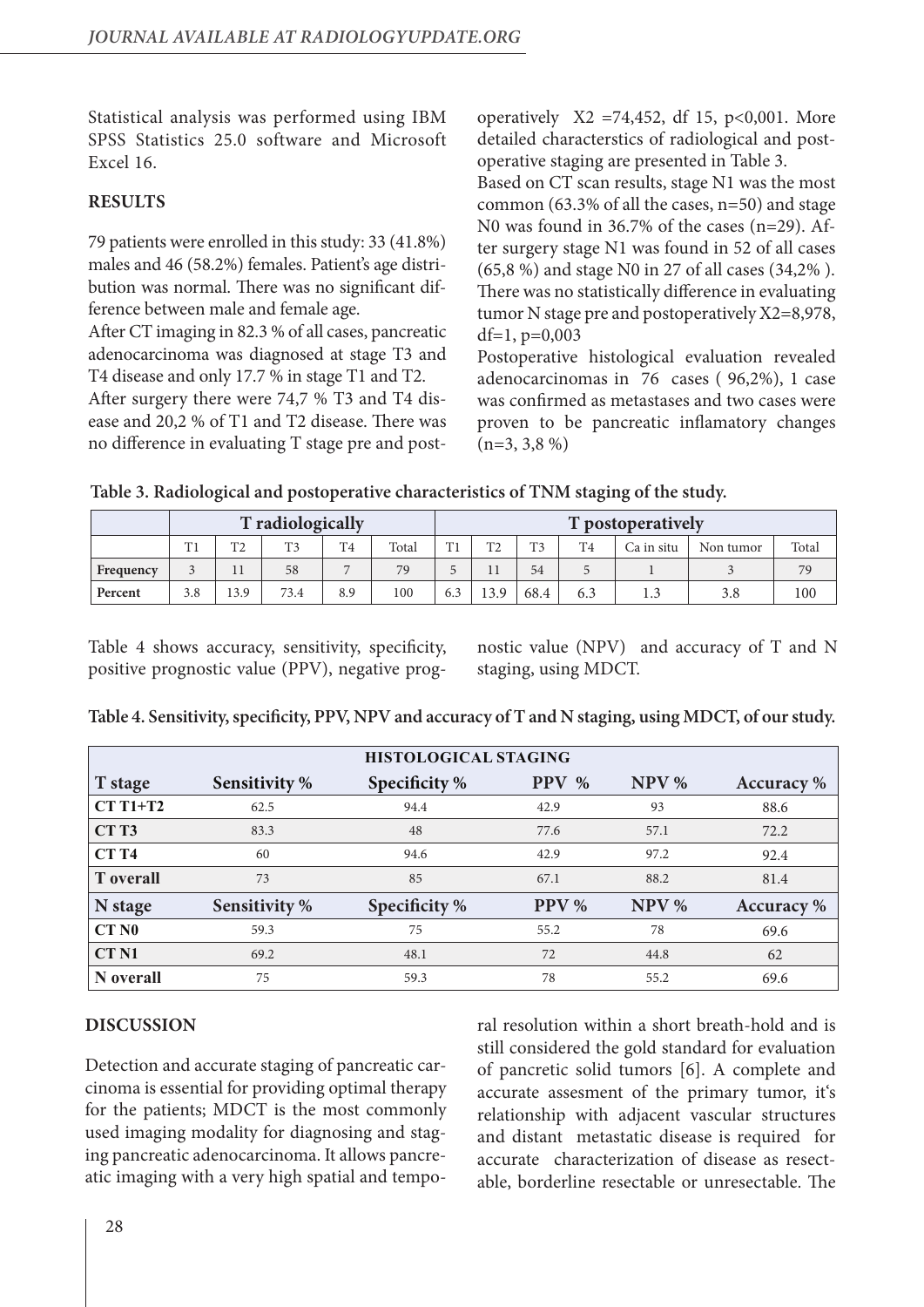Statistical analysis was performed using IBM SPSS Statistics 25.0 software and Microsoft Excel 16.

# **RESULTS**

79 patients were enrolled in this study: 33 (41.8%) males and 46 (58.2%) females. Patient's age distribution was normal. There was no significant difference between male and female age.

After CT imaging in 82.3 % of all cases, pancreatic adenocarcinoma was diagnosed at stage T3 and T4 disease and only 17.7 % in stage T1 and T2.

After surgery there were 74,7 % T3 and T4 disease and 20,2 % of T1 and T2 disease. There was no difference in evaluating T stage pre and postoperatively  $X2 = 74,452$ , df 15, p<0,001. More detailed characterstics of radiological and postoperative staging are presented in Table 3.

Based on CT scan results, stage N1 was the most common (63.3% of all the cases, n=50) and stage N0 was found in 36.7% of the cases (n=29). After surgery stage N1 was found in 52 of all cases (65,8 %) and stage N0 in 27 of all cases (34,2% ). There was no statistically difference in evaluating tumor N stage pre and postoperatively X2=8,978, df=1,  $p=0,003$ 

Postoperative histological evaluation revealed adenocarcinomas in 76 cases ( 96,2%), 1 case was confirmed as metastases and two cases were proven to be pancreatic inflamatory changes  $(n=3, 3, 8, 9)$ 

**Table 3. Radiological and postoperative characteristics of TNM staging of the study.**

| T radiologically |     |            |                |                |       |     |                | T postoperatively |                |            |           |       |
|------------------|-----|------------|----------------|----------------|-------|-----|----------------|-------------------|----------------|------------|-----------|-------|
|                  | T1  | <b>TMA</b> | T <sub>3</sub> | T <sub>4</sub> | Total | T1  | T <sub>2</sub> | T <sub>1</sub>    | T <sub>4</sub> | Ca in situ | Non tumor | Total |
| Frequency        |     |            | 58             |                | 79    | -   |                | 54                |                |            |           | 79    |
| Percent          | 3.8 | 13.9       | 73.4           | 8.9            | 100   | 6.3 | 13.9           | 68.4              | 6.3            |            | 3.8       | 100   |

Table 4 shows accuracy, sensitivity, specificity, positive prognostic value (PPV), negative prognostic value (NPV) and accuracy of T and N staging, using MDCT.

| Table 4. Sensitivity, specificity, PPV, NPV and accuracy of T and N staging, using MDCT, of our study. |  |  |  |
|--------------------------------------------------------------------------------------------------------|--|--|--|
|                                                                                                        |  |  |  |

| <b>HISTOLOGICAL STAGING</b> |                      |               |                 |       |                   |  |  |  |
|-----------------------------|----------------------|---------------|-----------------|-------|-------------------|--|--|--|
| T stage                     | <b>Sensitivity %</b> | Specificity % | <b>PPV</b><br>% | NPV % | <b>Accuracy</b> % |  |  |  |
| $CTT1+T2$                   | 62.5                 | 94.4          | 42.9            | 93    | 88.6              |  |  |  |
| CT <sub>T3</sub>            | 83.3                 | 48            | 77.6            | 57.1  | 72.2              |  |  |  |
| <b>CT T4</b>                | 60                   | 94.6          | 42.9            | 97.2  | 92.4              |  |  |  |
| <b>T</b> overall            | 73                   | 85            | 67.1            | 88.2  | 81.4              |  |  |  |
| N stage                     | <b>Sensitivity %</b> | Specificity % | PPV %           | NPV % | <b>Accuracy</b> % |  |  |  |
| CT N <sub>0</sub>           | 59.3                 | 75            | 55.2            | 78    | 69.6              |  |  |  |
| <b>CT N1</b>                | 69.2                 | 48.1          | 72              | 44.8  | 62                |  |  |  |
| N overall                   | 75                   | 59.3          | 78              | 55.2  | 69.6              |  |  |  |

# **DISCUSSION**

Detection and accurate staging of pancreatic carcinoma is essential for providing optimal therapy for the patients; MDCT is the most commonly used imaging modality for diagnosing and staging pancreatic adenocarcinoma. It allows pancreatic imaging with a very high spatial and temporal resolution within a short breath-hold and is still considered the gold standard for evaluation of pancretic solid tumors [6]. A complete and accurate assesment of the primary tumor, it's relationship with adjacent vascular structures and distant metastatic disease is required for accurate characterization of disease as resectable, borderline resectable or unresectable. The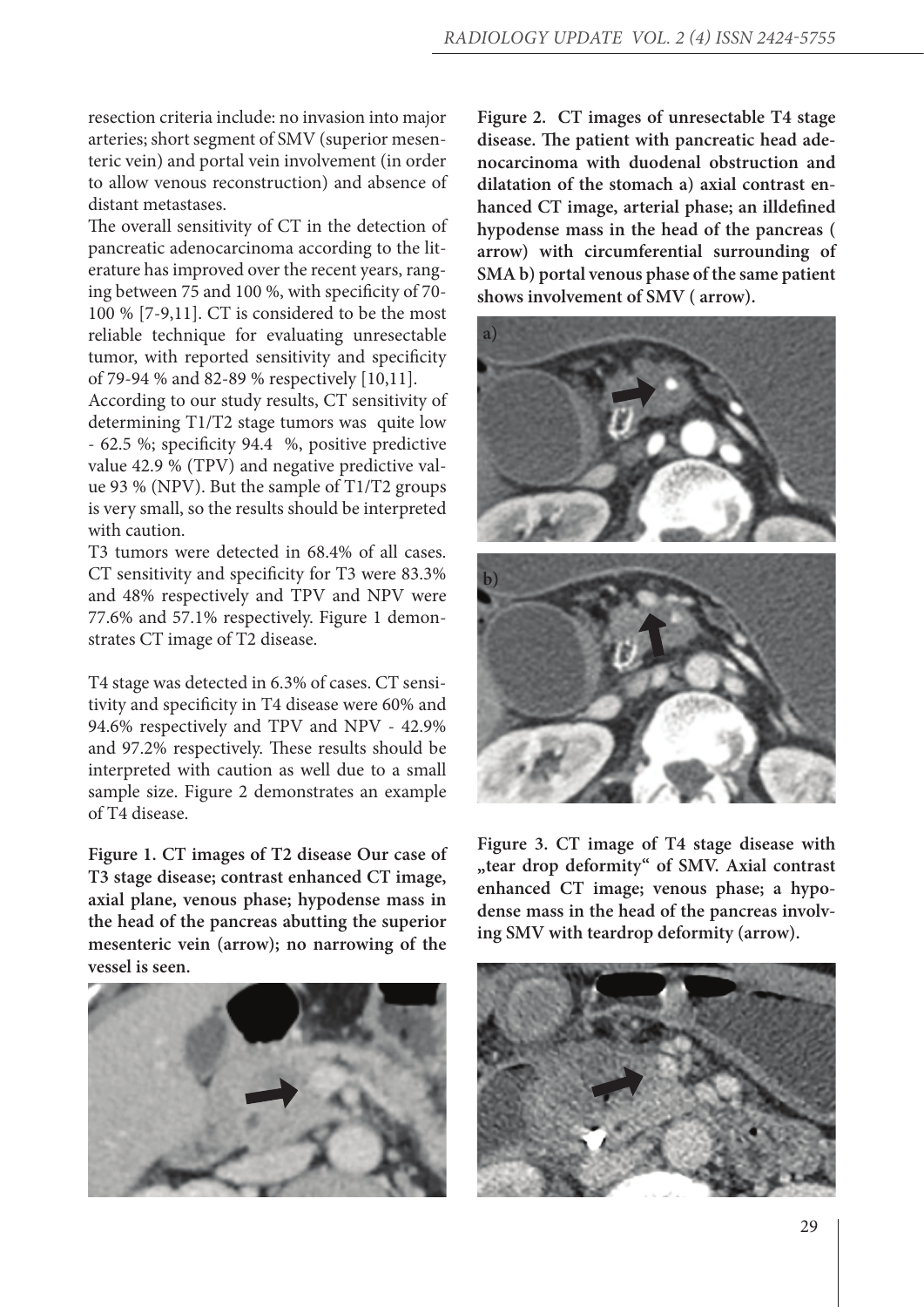resection criteria include: no invasion into major arteries; short segment of SMV (superior mesenteric vein) and portal vein involvement (in order to allow venous reconstruction) and absence of distant metastases.

The overall sensitivity of CT in the detection of pancreatic adenocarcinoma according to the literature has improved over the recent years, ranging between 75 and 100 %, with specificity of 70- 100 % [7-9,11]. CT is considered to be the most reliable technique for evaluating unresectable tumor, with reported sensitivity and specificity of 79-94 % and 82-89 % respectively [10,11].

According to our study results, CT sensitivity of determining T1/T2 stage tumors was quite low - 62.5 %; specificity 94.4 %, positive predictive value 42.9 % (TPV) and negative predictive value 93 % (NPV). But the sample of T1/T2 groups is very small, so the results should be interpreted with caution.

T3 tumors were detected in 68.4% of all cases. CT sensitivity and specificity for T3 were 83.3% and 48% respectively and TPV and NPV were 77.6% and 57.1% respectively. Figure 1 demonstrates CT image of T2 disease.

T4 stage was detected in 6.3% of cases. CT sensitivity and specificity in T4 disease were 60% and 94.6% respectively and TPV and NPV - 42.9% and 97.2% respectively. These results should be interpreted with caution as well due to a small sample size. Figure 2 demonstrates an example of T4 disease.

**Figure 1. CT images of T2 disease Our case of T3 stage disease; contrast enhanced CT image, axial plane, venous phase; hypodense mass in the head of the pancreas abutting the superior mesenteric vein (arrow); no narrowing of the vessel is seen.** 



**Figure 2. CT images of unresectable T4 stage disease. The patient with pancreatic head adenocarcinoma with duodenal obstruction and dilatation of the stomach a) axial contrast enhanced CT image, arterial phase; an illdefined hypodense mass in the head of the pancreas ( arrow) with circumferential surrounding of SMA b) portal venous phase of the same patient shows involvement of SMV ( arrow).**



**Figure 3. CT image of T4 stage disease with "tear drop deformity" of SMV. Axial contrast enhanced CT image; venous phase; a hypodense mass in the head of the pancreas involving SMV with teardrop deformity (arrow).**